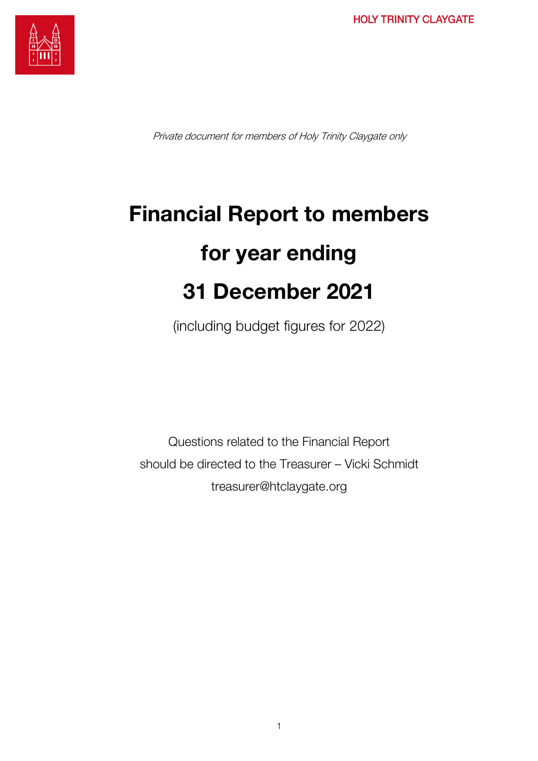

Private document for members of Holy Trinity Claygate only

# Financial Report to members for year ending 31 December 2021

(including budget figures for 2022)

Questions related to the Financial Report should be directed to the Treasurer – Vicki Schmidt treasurer@htclaygate.org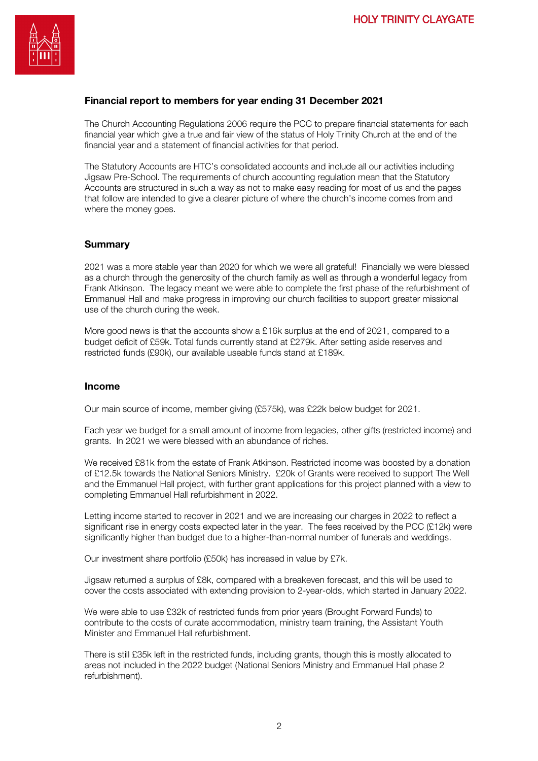

### Financial report to members for year ending 31 December 2021

The Church Accounting Regulations 2006 require the PCC to prepare financial statements for each financial year which give a true and fair view of the status of Holy Trinity Church at the end of the financial year and a statement of financial activities for that period.

The Statutory Accounts are HTC's consolidated accounts and include all our activities including Jigsaw Pre-School. The requirements of church accounting regulation mean that the Statutory Accounts are structured in such a way as not to make easy reading for most of us and the pages that follow are intended to give a clearer picture of where the church's income comes from and where the money goes.

#### **Summary**

2021 was a more stable year than 2020 for which we were all grateful! Financially we were blessed as a church through the generosity of the church family as well as through a wonderful legacy from Frank Atkinson. The legacy meant we were able to complete the first phase of the refurbishment of Emmanuel Hall and make progress in improving our church facilities to support greater missional use of the church during the week.

More good news is that the accounts show a £16k surplus at the end of 2021, compared to a budget deficit of £59k. Total funds currently stand at £279k. After setting aside reserves and restricted funds (£90k), our available useable funds stand at £189k.

#### Income

Our main source of income, member giving (£575k), was £22k below budget for 2021.

Each year we budget for a small amount of income from legacies, other gifts (restricted income) and grants. In 2021 we were blessed with an abundance of riches.

We received £81k from the estate of Frank Atkinson. Restricted income was boosted by a donation of £12.5k towards the National Seniors Ministry. £20k of Grants were received to support The Well and the Emmanuel Hall project, with further grant applications for this project planned with a view to completing Emmanuel Hall refurbishment in 2022.

Letting income started to recover in 2021 and we are increasing our charges in 2022 to reflect a significant rise in energy costs expected later in the year. The fees received by the PCC (£12k) were significantly higher than budget due to a higher-than-normal number of funerals and weddings.

Our investment share portfolio (£50k) has increased in value by £7k.

Jigsaw returned a surplus of £8k, compared with a breakeven forecast, and this will be used to cover the costs associated with extending provision to 2-year-olds, which started in January 2022.

We were able to use £32k of restricted funds from prior years (Brought Forward Funds) to contribute to the costs of curate accommodation, ministry team training, the Assistant Youth Minister and Emmanuel Hall refurbishment.

There is still £35k left in the restricted funds, including grants, though this is mostly allocated to areas not included in the 2022 budget (National Seniors Ministry and Emmanuel Hall phase 2 refurbishment).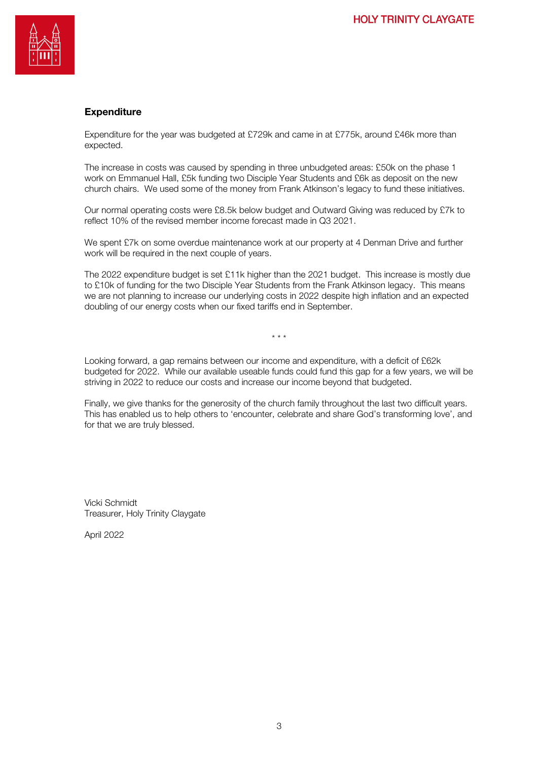

## **Expenditure**

Expenditure for the year was budgeted at £729k and came in at £775k, around £46k more than expected.

The increase in costs was caused by spending in three unbudgeted areas: £50k on the phase 1 work on Emmanuel Hall, £5k funding two Disciple Year Students and £6k as deposit on the new church chairs. We used some of the money from Frank Atkinson's legacy to fund these initiatives.

Our normal operating costs were £8.5k below budget and Outward Giving was reduced by £7k to reflect 10% of the revised member income forecast made in Q3 2021.

We spent £7k on some overdue maintenance work at our property at 4 Denman Drive and further work will be required in the next couple of years.

The 2022 expenditure budget is set £11k higher than the 2021 budget. This increase is mostly due to £10k of funding for the two Disciple Year Students from the Frank Atkinson legacy. This means we are not planning to increase our underlying costs in 2022 despite high inflation and an expected doubling of our energy costs when our fixed tariffs end in September.

 $\mathbf{r}$  . The set

Looking forward, a gap remains between our income and expenditure, with a deficit of £62k budgeted for 2022. While our available useable funds could fund this gap for a few years, we will be striving in 2022 to reduce our costs and increase our income beyond that budgeted.

Finally, we give thanks for the generosity of the church family throughout the last two difficult years. This has enabled us to help others to 'encounter, celebrate and share God's transforming love', and for that we are truly blessed.

Vicki Schmidt Treasurer, Holy Trinity Claygate

April 2022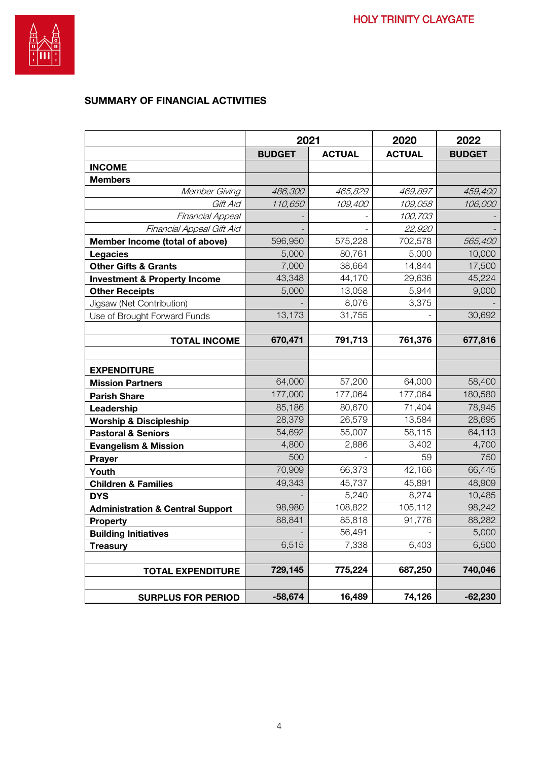

# SUMMARY OF FINANCIAL ACTIVITIES

|                                             | 2021          |               | 2020          | 2022          |
|---------------------------------------------|---------------|---------------|---------------|---------------|
|                                             | <b>BUDGET</b> | <b>ACTUAL</b> | <b>ACTUAL</b> | <b>BUDGET</b> |
| <b>INCOME</b>                               |               |               |               |               |
| <b>Members</b>                              |               |               |               |               |
| Member Giving                               | 486,300       | 465,829       | 469,897       | 459,400       |
| Gift Aid                                    | 110,650       | 109,400       | 109,058       | 106,000       |
| Financial Appeal                            |               |               | 100,703       |               |
| Financial Appeal Gift Aid                   |               |               | 22,920        |               |
| Member Income (total of above)              | 596,950       | 575,228       | 702,578       | 565,400       |
| <b>Legacies</b>                             | 5,000         | 80,761        | 5,000         | 10,000        |
| <b>Other Gifts &amp; Grants</b>             | 7,000         | 38,664        | 14,844        | 17,500        |
| <b>Investment &amp; Property Income</b>     | 43,348        | 44,170        | 29,636        | 45,224        |
| <b>Other Receipts</b>                       | 5,000         | 13,058        | 5,944         | 9,000         |
| Jigsaw (Net Contribution)                   |               | 8,076         | 3,375         |               |
| Use of Brought Forward Funds                | 13,173        | 31,755        |               | 30,692        |
|                                             |               |               |               |               |
| <b>TOTAL INCOME</b>                         | 670,471       | 791,713       | 761,376       | 677,816       |
|                                             |               |               |               |               |
| <b>EXPENDITURE</b>                          |               |               |               |               |
| <b>Mission Partners</b>                     | 64,000        | 57,200        | 64,000        | 58,400        |
| <b>Parish Share</b>                         | 177,000       | 177,064       | 177,064       | 180,580       |
| Leadership                                  | 85,186        | 80,670        | 71,404        | 78,945        |
| <b>Worship &amp; Discipleship</b>           | 28,379        | 26,579        | 13,584        | 28,695        |
| <b>Pastoral &amp; Seniors</b>               | 54,692        | 55,007        | 58,115        | 64,113        |
| <b>Evangelism &amp; Mission</b>             | 4,800         | 2,886         | 3,402         | 4,700         |
| Prayer                                      | 500           |               | 59            | 750           |
| Youth                                       | 70,909        | 66,373        | 42,166        | 66,445        |
| <b>Children &amp; Families</b>              | 49,343        | 45,737        | 45,891        | 48,909        |
| <b>DYS</b>                                  |               | 5,240         | 8,274         | 10,485        |
| <b>Administration &amp; Central Support</b> | 98,980        | 108,822       | 105,112       | 98,242        |
| <b>Property</b>                             | 88,841        | 85,818        | 91,776        | 88,282        |
| <b>Building Initiatives</b>                 |               | 56,491        |               | 5,000         |
| <b>Treasury</b>                             | 6,515         | 7,338         | 6,403         | 6,500         |
|                                             |               |               |               |               |
| <b>TOTAL EXPENDITURE</b>                    | 729,145       | 775,224       | 687,250       | 740,046       |
|                                             |               |               |               |               |
| <b>SURPLUS FOR PERIOD</b>                   | $-58,674$     | 16,489        | 74,126        | $-62,230$     |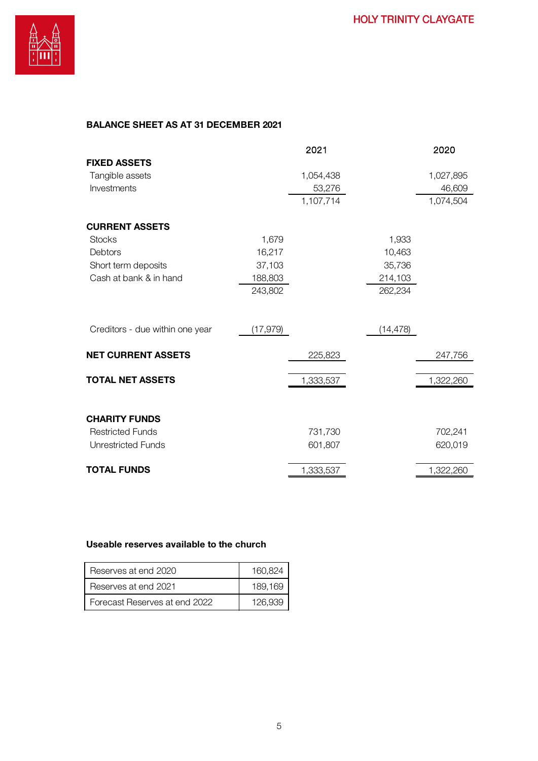## BALANCE SHEET AS AT 31 DECEMBER 2021

|                                 |           | 2021      |           | 2020      |
|---------------------------------|-----------|-----------|-----------|-----------|
| <b>FIXED ASSETS</b>             |           |           |           |           |
| Tangible assets                 |           | 1,054,438 |           | 1,027,895 |
| Investments                     |           | 53,276    |           | 46,609    |
|                                 |           | 1,107,714 |           | 1,074,504 |
| <b>CURRENT ASSETS</b>           |           |           |           |           |
| <b>Stocks</b>                   | 1,679     |           | 1,933     |           |
| Debtors                         | 16,217    |           | 10,463    |           |
| Short term deposits             | 37,103    |           | 35,736    |           |
| Cash at bank & in hand          | 188,803   |           | 214,103   |           |
|                                 | 243,802   |           | 262,234   |           |
| Creditors - due within one year | (17, 979) |           | (14, 478) |           |
| <b>NET CURRENT ASSETS</b>       |           | 225,823   |           | 247,756   |
| <b>TOTAL NET ASSETS</b>         |           | 1,333,537 |           | 1,322,260 |
|                                 |           |           |           |           |
| <b>CHARITY FUNDS</b>            |           |           |           |           |
| <b>Restricted Funds</b>         |           | 731,730   |           | 702,241   |
| <b>Unrestricted Funds</b>       |           | 601,807   |           | 620,019   |
| <b>TOTAL FUNDS</b>              |           | 1,333,537 |           | 1,322,260 |

#### Useable reserves available to the church

| Reserves at end 2020          | 160.824 |
|-------------------------------|---------|
| Reserves at end 2021          | 189.169 |
| Forecast Reserves at end 2022 | 126.939 |